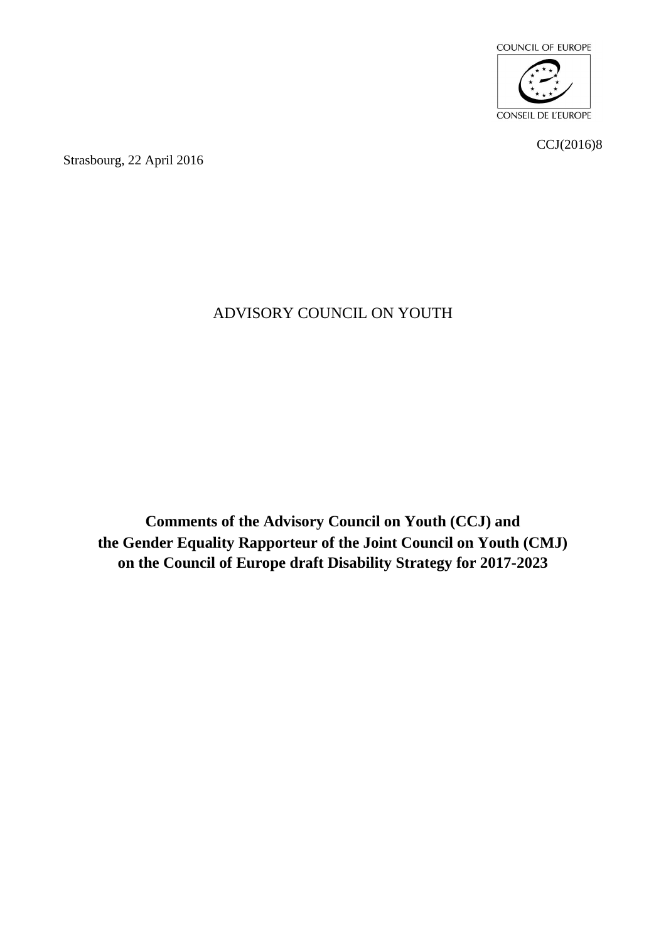

CCJ(2016)8

Strasbourg, 22 April 2016

## ADVISORY COUNCIL ON YOUTH

**Comments of the Advisory Council on Youth (CCJ) and the Gender Equality Rapporteur of the Joint Council on Youth (CMJ) on the Council of Europe draft Disability Strategy for 2017-2023**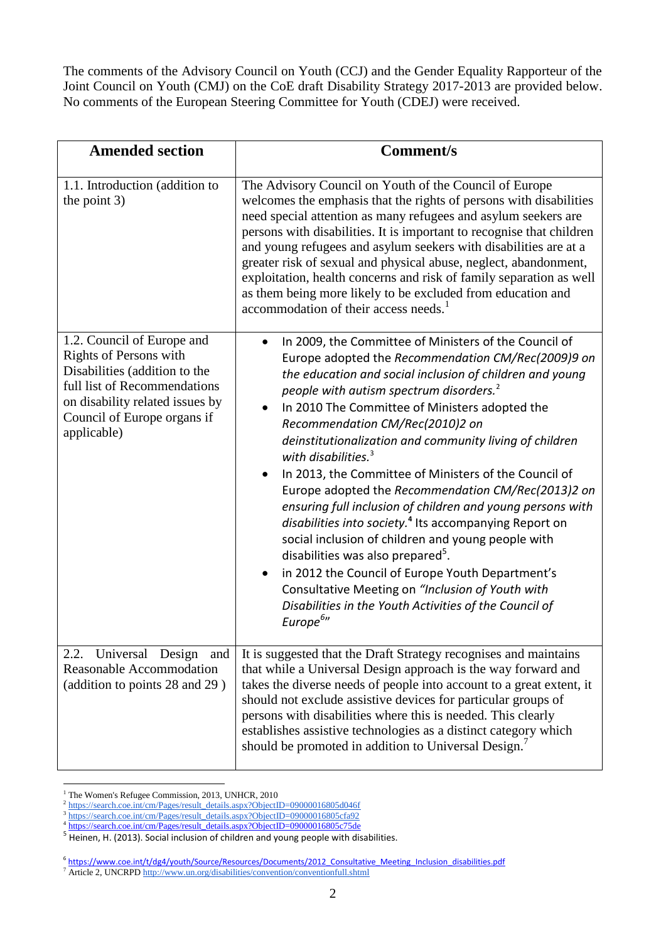The comments of the Advisory Council on Youth (CCJ) and the Gender Equality Rapporteur of the Joint Council on Youth (CMJ) on the CoE draft Disability Strategy 2017-2013 are provided below. No comments of the European Steering Committee for Youth (CDEJ) were received.

| <b>Amended section</b>                                                                                                                                                                                        | <b>Comment/s</b>                                                                                                                                                                                                                                                                                                                                                                                                                                                                                                                                                                                                                                                                                                                                                                                                                                                                                                                                                                        |
|---------------------------------------------------------------------------------------------------------------------------------------------------------------------------------------------------------------|-----------------------------------------------------------------------------------------------------------------------------------------------------------------------------------------------------------------------------------------------------------------------------------------------------------------------------------------------------------------------------------------------------------------------------------------------------------------------------------------------------------------------------------------------------------------------------------------------------------------------------------------------------------------------------------------------------------------------------------------------------------------------------------------------------------------------------------------------------------------------------------------------------------------------------------------------------------------------------------------|
| 1.1. Introduction (addition to<br>the point 3)                                                                                                                                                                | The Advisory Council on Youth of the Council of Europe<br>welcomes the emphasis that the rights of persons with disabilities<br>need special attention as many refugees and asylum seekers are<br>persons with disabilities. It is important to recognise that children<br>and young refugees and asylum seekers with disabilities are at a<br>greater risk of sexual and physical abuse, neglect, abandonment,<br>exploitation, health concerns and risk of family separation as well<br>as them being more likely to be excluded from education and<br>accommodation of their access needs. <sup>1</sup>                                                                                                                                                                                                                                                                                                                                                                              |
| 1.2. Council of Europe and<br><b>Rights of Persons with</b><br>Disabilities (addition to the<br>full list of Recommendations<br>on disability related issues by<br>Council of Europe organs if<br>applicable) | In 2009, the Committee of Ministers of the Council of<br>$\bullet$<br>Europe adopted the Recommendation CM/Rec(2009)9 on<br>the education and social inclusion of children and young<br>people with autism spectrum disorders. <sup>2</sup><br>In 2010 The Committee of Ministers adopted the<br>$\bullet$<br>Recommendation CM/Rec(2010)2 on<br>deinstitutionalization and community living of children<br>with disabilities. $3$<br>In 2013, the Committee of Ministers of the Council of<br>Europe adopted the Recommendation CM/Rec(2013)2 on<br>ensuring full inclusion of children and young persons with<br>disabilities into society. <sup>4</sup> Its accompanying Report on<br>social inclusion of children and young people with<br>disabilities was also prepared <sup>5</sup> .<br>in 2012 the Council of Europe Youth Department's<br>Consultative Meeting on "Inclusion of Youth with<br>Disabilities in the Youth Activities of the Council of<br>Europe <sup>b</sup> " |
| Universal Design<br>2.2.<br>and<br><b>Reasonable Accommodation</b><br>(addition to points 28 and 29)                                                                                                          | It is suggested that the Draft Strategy recognises and maintains<br>that while a Universal Design approach is the way forward and<br>takes the diverse needs of people into account to a great extent, it<br>should not exclude assistive devices for particular groups of<br>persons with disabilities where this is needed. This clearly<br>establishes assistive technologies as a distinct category which<br>should be promoted in addition to Universal Design.                                                                                                                                                                                                                                                                                                                                                                                                                                                                                                                    |

<sup>&</sup>lt;sup>1</sup> The Women's Refugee Commission, 2013, UNHCR, 2010

1

<sup>&</sup>lt;sup>2</sup> [https://search.coe.int/cm/Pages/result\\_details.aspx?ObjectID=09000016805d046f](https://search.coe.int/cm/Pages/result_details.aspx?ObjectID=09000016805d046f)

<sup>&</sup>lt;sup>3</sup> [https://search.coe.int/cm/Pages/result\\_details.aspx?ObjectID=09000016805cfa92](https://search.coe.int/cm/Pages/result_details.aspx?ObjectID=09000016805cfa92)<br><sup>4</sup> [https://search.coe.int/cm/Pages/result\\_details.aspx?ObjectID=09000016805c75de](https://search.coe.int/cm/Pages/result_details.aspx?ObjectID=09000016805c75de)

<sup>&</sup>lt;sup>5</sup> Heinen, H. (2013). Social inclusion of children and young people with disabilities.

<sup>&</sup>lt;sup>6</sup>https://www.coe.int/t/dg4/youth/Source/Resources/Documents/2012 Consultative Meeting Inclusion disabilities.pdf

<sup>&</sup>lt;sup>7</sup> Article 2, UNCRPD<http://www.un.org/disabilities/convention/conventionfull.shtml>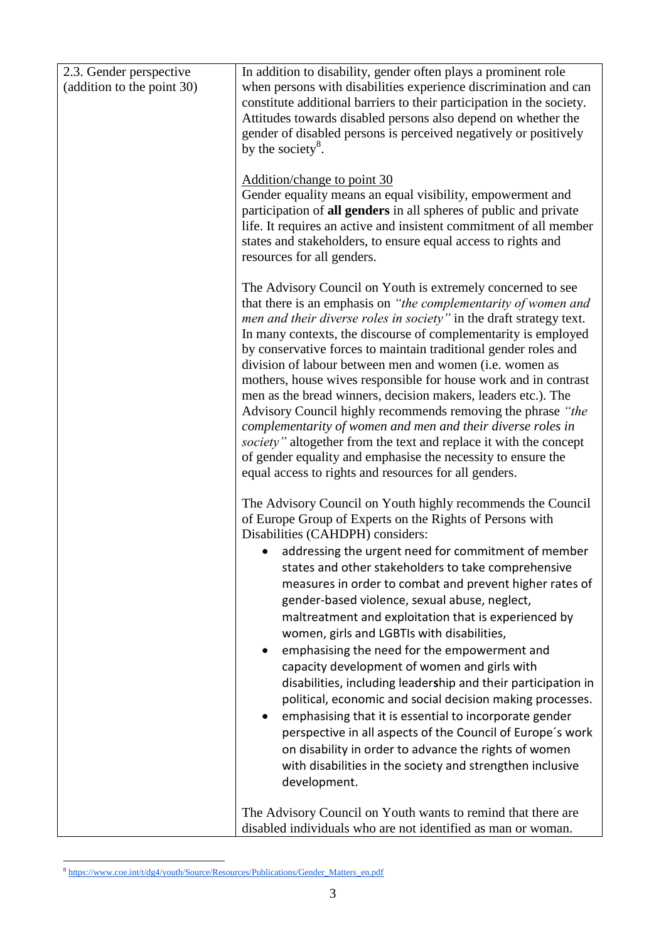| 2.3. Gender perspective    | In addition to disability, gender often plays a prominent role                                                                                                                                                                                                                                                                                                                                                                                                                                                                                                                                                                                                                                                                                                                                                                                                                                                                                                                                            |
|----------------------------|-----------------------------------------------------------------------------------------------------------------------------------------------------------------------------------------------------------------------------------------------------------------------------------------------------------------------------------------------------------------------------------------------------------------------------------------------------------------------------------------------------------------------------------------------------------------------------------------------------------------------------------------------------------------------------------------------------------------------------------------------------------------------------------------------------------------------------------------------------------------------------------------------------------------------------------------------------------------------------------------------------------|
| (addition to the point 30) | when persons with disabilities experience discrimination and can<br>constitute additional barriers to their participation in the society.<br>Attitudes towards disabled persons also depend on whether the<br>gender of disabled persons is perceived negatively or positively<br>by the society <sup>8</sup> .                                                                                                                                                                                                                                                                                                                                                                                                                                                                                                                                                                                                                                                                                           |
|                            | Addition/change to point 30<br>Gender equality means an equal visibility, empowerment and<br>participation of all genders in all spheres of public and private<br>life. It requires an active and insistent commitment of all member<br>states and stakeholders, to ensure equal access to rights and<br>resources for all genders.                                                                                                                                                                                                                                                                                                                                                                                                                                                                                                                                                                                                                                                                       |
|                            | The Advisory Council on Youth is extremely concerned to see<br>that there is an emphasis on "the complementarity of women and<br>men and their diverse roles in society" in the draft strategy text.<br>In many contexts, the discourse of complementarity is employed<br>by conservative forces to maintain traditional gender roles and<br>division of labour between men and women (i.e. women as<br>mothers, house wives responsible for house work and in contrast<br>men as the bread winners, decision makers, leaders etc.). The<br>Advisory Council highly recommends removing the phrase "the<br>complementarity of women and men and their diverse roles in<br>society" altogether from the text and replace it with the concept<br>of gender equality and emphasise the necessity to ensure the<br>equal access to rights and resources for all genders.                                                                                                                                      |
|                            | The Advisory Council on Youth highly recommends the Council<br>of Europe Group of Experts on the Rights of Persons with<br>Disabilities (CAHDPH) considers:<br>addressing the urgent need for commitment of member<br>states and other stakeholders to take comprehensive<br>measures in order to combat and prevent higher rates of<br>gender-based violence, sexual abuse, neglect,<br>maltreatment and exploitation that is experienced by<br>women, girls and LGBTIs with disabilities,<br>emphasising the need for the empowerment and<br>٠<br>capacity development of women and girls with<br>disabilities, including leadership and their participation in<br>political, economic and social decision making processes.<br>emphasising that it is essential to incorporate gender<br>$\bullet$<br>perspective in all aspects of the Council of Europe's work<br>on disability in order to advance the rights of women<br>with disabilities in the society and strengthen inclusive<br>development. |
|                            | The Advisory Council on Youth wants to remind that there are<br>disabled individuals who are not identified as man or woman.                                                                                                                                                                                                                                                                                                                                                                                                                                                                                                                                                                                                                                                                                                                                                                                                                                                                              |

 8 [https://www.coe.int/t/dg4/youth/Source/Resources/Publications/Gender\\_Matters\\_en.pdf](https://www.coe.int/t/dg4/youth/Source/Resources/Publications/Gender_Matters_en.pdf)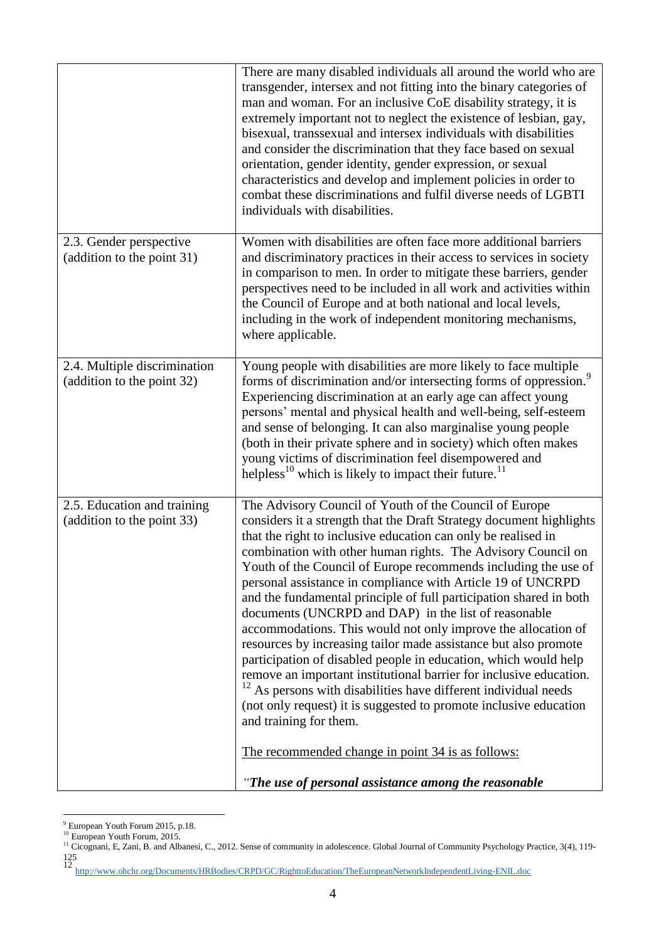|                                                            | There are many disabled individuals all around the world who are<br>transgender, intersex and not fitting into the binary categories of<br>man and woman. For an inclusive CoE disability strategy, it is<br>extremely important not to neglect the existence of lesbian, gay,<br>bisexual, transsexual and intersex individuals with disabilities<br>and consider the discrimination that they face based on sexual<br>orientation, gender identity, gender expression, or sexual<br>characteristics and develop and implement policies in order to<br>combat these discriminations and fulfil diverse needs of LGBTI<br>individuals with disabilities.                                                                                                                                                                                                                                                                                                                                                                             |
|------------------------------------------------------------|--------------------------------------------------------------------------------------------------------------------------------------------------------------------------------------------------------------------------------------------------------------------------------------------------------------------------------------------------------------------------------------------------------------------------------------------------------------------------------------------------------------------------------------------------------------------------------------------------------------------------------------------------------------------------------------------------------------------------------------------------------------------------------------------------------------------------------------------------------------------------------------------------------------------------------------------------------------------------------------------------------------------------------------|
| 2.3. Gender perspective<br>(addition to the point 31)      | Women with disabilities are often face more additional barriers<br>and discriminatory practices in their access to services in society<br>in comparison to men. In order to mitigate these barriers, gender<br>perspectives need to be included in all work and activities within<br>the Council of Europe and at both national and local levels,<br>including in the work of independent monitoring mechanisms,<br>where applicable.                                                                                                                                                                                                                                                                                                                                                                                                                                                                                                                                                                                                |
| 2.4. Multiple discrimination<br>(addition to the point 32) | Young people with disabilities are more likely to face multiple<br>forms of discrimination and/or intersecting forms of oppression. <sup>9</sup><br>Experiencing discrimination at an early age can affect young<br>persons' mental and physical health and well-being, self-esteem<br>and sense of belonging. It can also marginalise young people<br>(both in their private sphere and in society) which often makes<br>young victims of discrimination feel disempowered and<br>helpless <sup>10</sup> which is likely to impact their future. <sup>11</sup>                                                                                                                                                                                                                                                                                                                                                                                                                                                                      |
| 2.5. Education and training<br>(addition to the point 33)  | The Advisory Council of Youth of the Council of Europe<br>considers it a strength that the Draft Strategy document highlights<br>that the right to inclusive education can only be realised in<br>combination with other human rights. The Advisory Council on<br>Youth of the Council of Europe recommends including the use of<br>personal assistance in compliance with Article 19 of UNCRPD<br>and the fundamental principle of full participation shared in both<br>documents (UNCRPD and DAP) in the list of reasonable<br>accommodations. This would not only improve the allocation of<br>resources by increasing tailor made assistance but also promote<br>participation of disabled people in education, which would help<br>remove an important institutional barrier for inclusive education.<br>12<br>As persons with disabilities have different individual needs<br>(not only request) it is suggested to promote inclusive education<br>and training for them.<br>The recommended change in point 34 is as follows: |
|                                                            | "The use of personal assistance among the reasonable                                                                                                                                                                                                                                                                                                                                                                                                                                                                                                                                                                                                                                                                                                                                                                                                                                                                                                                                                                                 |

<sup>1</sup> <sup>9</sup> European Youth Forum 2015, p.18.

125 12 <http://www.ohchr.org/Documents/HRBodies/CRPD/GC/RighttoEducation/TheEuropeanNetworkIndependentLiving-ENIL.doc>

<sup>&</sup>lt;sup>10</sup> European Youth Forum, 2015.

<sup>&</sup>lt;sup>11</sup> Cicognani, E, Zani, B. and Albanesi, C., 2012. Sense of community in adolescence. Global Journal of Community Psychology Practice, 3(4), 119-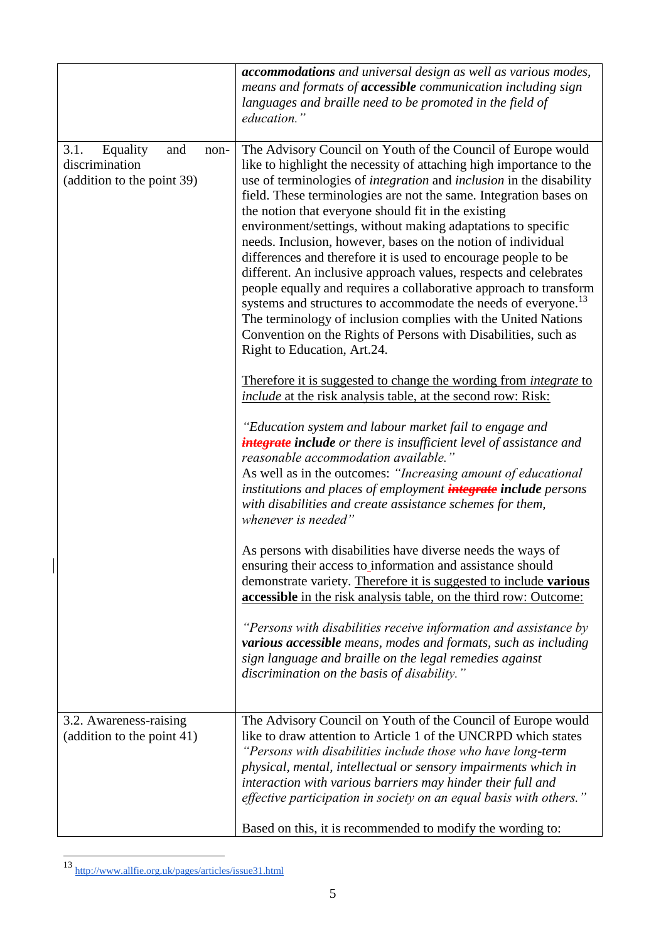|                                                                                 | accommodations and universal design as well as various modes,<br>means and formats of <b>accessible</b> communication including sign<br>languages and braille need to be promoted in the field of<br>education."                                                                                                                                                                                                                                                                                                                                                                                                                                                                                                                                                                                                                                                                                                                  |
|---------------------------------------------------------------------------------|-----------------------------------------------------------------------------------------------------------------------------------------------------------------------------------------------------------------------------------------------------------------------------------------------------------------------------------------------------------------------------------------------------------------------------------------------------------------------------------------------------------------------------------------------------------------------------------------------------------------------------------------------------------------------------------------------------------------------------------------------------------------------------------------------------------------------------------------------------------------------------------------------------------------------------------|
| 3.1.<br>Equality<br>and<br>non-<br>discrimination<br>(addition to the point 39) | The Advisory Council on Youth of the Council of Europe would<br>like to highlight the necessity of attaching high importance to the<br>use of terminologies of <i>integration</i> and <i>inclusion</i> in the disability<br>field. These terminologies are not the same. Integration bases on<br>the notion that everyone should fit in the existing<br>environment/settings, without making adaptations to specific<br>needs. Inclusion, however, bases on the notion of individual<br>differences and therefore it is used to encourage people to be<br>different. An inclusive approach values, respects and celebrates<br>people equally and requires a collaborative approach to transform<br>systems and structures to accommodate the needs of everyone.<br>The terminology of inclusion complies with the United Nations<br>Convention on the Rights of Persons with Disabilities, such as<br>Right to Education, Art.24. |
|                                                                                 | Therefore it is suggested to change the wording from <i>integrate</i> to<br><i>include</i> at the risk analysis table, at the second row: Risk:<br>"Education system and labour market fail to engage and<br><b>integrate include</b> or there is insufficient level of assistance and<br>reasonable accommodation available."<br>As well as in the outcomes: "Increasing amount of educational<br>institutions and places of employment <i>integrate</i> include persons<br>with disabilities and create assistance schemes for them,<br>whenever is needed"                                                                                                                                                                                                                                                                                                                                                                     |
|                                                                                 | As persons with disabilities have diverse needs the ways of<br>ensuring their access to information and assistance should<br>demonstrate variety. Therefore it is suggested to include various<br><b>accessible</b> in the risk analysis table, on the third row: Outcome:                                                                                                                                                                                                                                                                                                                                                                                                                                                                                                                                                                                                                                                        |
|                                                                                 | "Persons with disabilities receive information and assistance by<br>various accessible means, modes and formats, such as including<br>sign language and braille on the legal remedies against<br>discrimination on the basis of disability."                                                                                                                                                                                                                                                                                                                                                                                                                                                                                                                                                                                                                                                                                      |
| 3.2. Awareness-raising<br>(addition to the point 41)                            | The Advisory Council on Youth of the Council of Europe would<br>like to draw attention to Article 1 of the UNCRPD which states<br>"Persons with disabilities include those who have long-term<br>physical, mental, intellectual or sensory impairments which in<br>interaction with various barriers may hinder their full and<br>effective participation in society on an equal basis with others."                                                                                                                                                                                                                                                                                                                                                                                                                                                                                                                              |
|                                                                                 | Based on this, it is recommended to modify the wording to:                                                                                                                                                                                                                                                                                                                                                                                                                                                                                                                                                                                                                                                                                                                                                                                                                                                                        |

<sup>13</sup> <http://www.allfie.org.uk/pages/articles/issue31.html>

<u>.</u>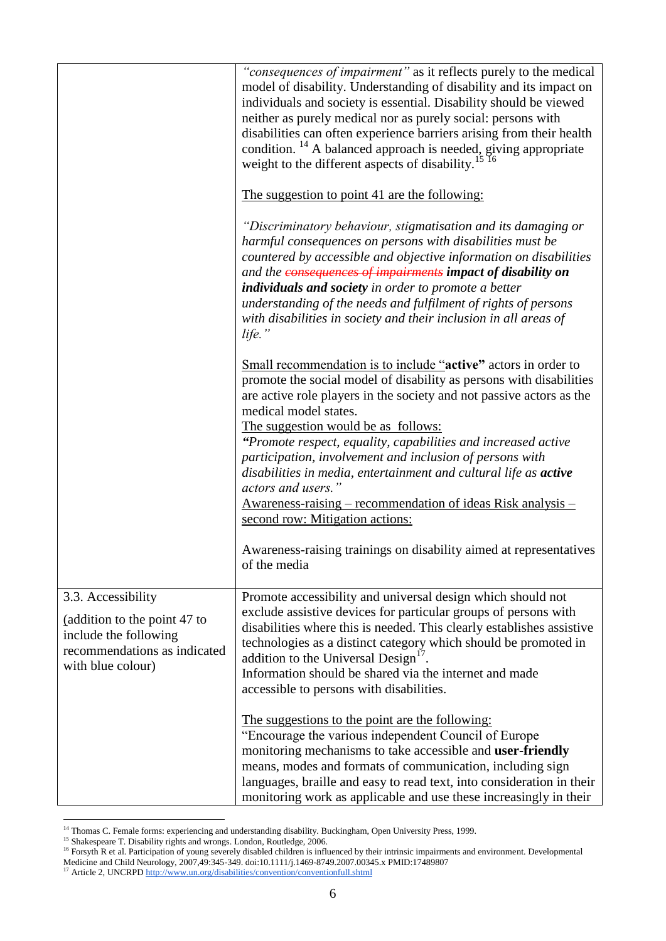|                                                                                                                                  | "consequences of impairment" as it reflects purely to the medical<br>model of disability. Understanding of disability and its impact on<br>individuals and society is essential. Disability should be viewed<br>neither as purely medical nor as purely social: persons with<br>disabilities can often experience barriers arising from their health<br>condition. <sup>14</sup> A balanced approach is needed, giving appropriate<br>weight to the different aspects of disability. <sup>15</sup>                                                                  |
|----------------------------------------------------------------------------------------------------------------------------------|---------------------------------------------------------------------------------------------------------------------------------------------------------------------------------------------------------------------------------------------------------------------------------------------------------------------------------------------------------------------------------------------------------------------------------------------------------------------------------------------------------------------------------------------------------------------|
|                                                                                                                                  | The suggestion to point 41 are the following:                                                                                                                                                                                                                                                                                                                                                                                                                                                                                                                       |
|                                                                                                                                  | "Discriminatory behaviour, stigmatisation and its damaging or<br>harmful consequences on persons with disabilities must be<br>countered by accessible and objective information on disabilities<br>and the consequences of impairments impact of disability on<br>individuals and society in order to promote a better<br>understanding of the needs and fulfilment of rights of persons<br>with disabilities in society and their inclusion in all areas of<br>life."                                                                                              |
|                                                                                                                                  | Small recommendation is to include "active" actors in order to<br>promote the social model of disability as persons with disabilities<br>are active role players in the society and not passive actors as the<br>medical model states.<br>The suggestion would be as follows:<br>"Promote respect, equality, capabilities and increased active<br>participation, involvement and inclusion of persons with<br>disabilities in media, entertainment and cultural life as active<br>actors and users."<br>Awareness-raising – recommendation of ideas Risk analysis – |
|                                                                                                                                  | second row: Mitigation actions:<br>Awareness-raising trainings on disability aimed at representatives<br>of the media                                                                                                                                                                                                                                                                                                                                                                                                                                               |
| 3.3. Accessibility<br>(addition to the point 47 to<br>include the following<br>recommendations as indicated<br>with blue colour) | Promote accessibility and universal design which should not<br>exclude assistive devices for particular groups of persons with<br>disabilities where this is needed. This clearly establishes assistive<br>technologies as a distinct category which should be promoted in<br>addition to the Universal Design <sup>17</sup><br>Information should be shared via the internet and made<br>accessible to persons with disabilities.                                                                                                                                  |
|                                                                                                                                  | The suggestions to the point are the following:<br>"Encourage the various independent Council of Europe<br>monitoring mechanisms to take accessible and user-friendly<br>means, modes and formats of communication, including sign<br>languages, braille and easy to read text, into consideration in their<br>monitoring work as applicable and use these increasingly in their                                                                                                                                                                                    |

<sup>&</sup>lt;sup>14</sup> Thomas C. Female forms: experiencing and understanding disability. Buckingham, Open University Press, 1999.

1

<sup>&</sup>lt;sup>15</sup> Shakespeare T. Disability rights and wrongs. London, Routledge, 2006.

 $<sup>16</sup>$  Forsyth R et al. Participation of young severely disabled children is influenced by their intrinsic impairments and environment. Developmental</sup> Medicine and Child Neurology, 2007,49:345-349. doi:10.1111/j.1469-8749.2007.00345.x PMID:17489807

<sup>&</sup>lt;sup>17</sup> Article 2, UNCRP[D http://www.un.org/disabilities/convention/conventionfull.shtml](http://www.un.org/disabilities/convention/conventionfull.shtml)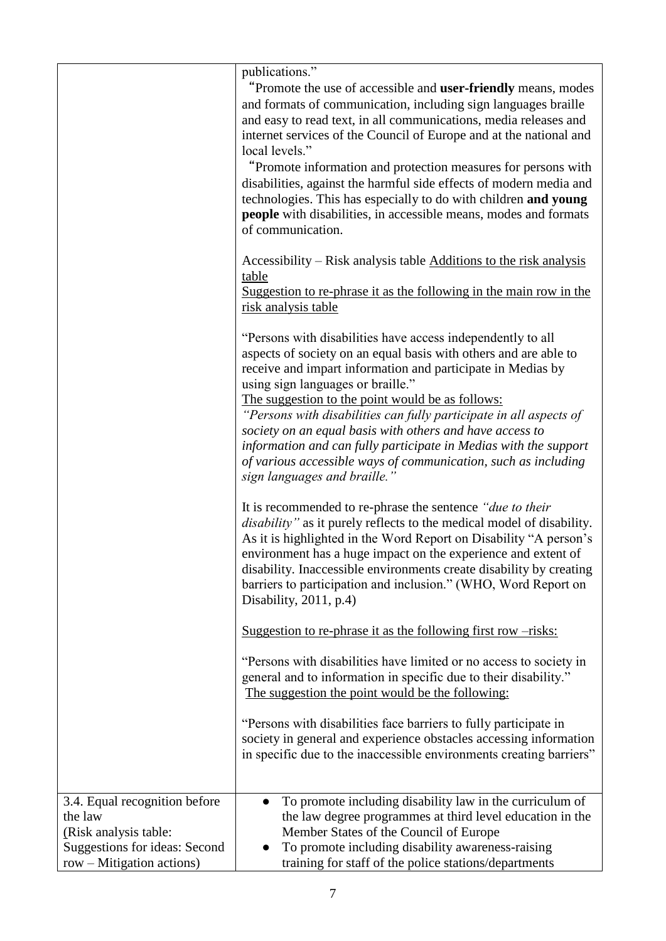|                                                                                                    | publications."<br>"Promote the use of accessible and user-friendly means, modes<br>and formats of communication, including sign languages braille<br>and easy to read text, in all communications, media releases and<br>internet services of the Council of Europe and at the national and<br>local levels."<br>"Promote information and protection measures for persons with<br>disabilities, against the harmful side effects of modern media and<br>technologies. This has especially to do with children and young<br><b>people</b> with disabilities, in accessible means, modes and formats<br>of communication.<br>Accessibility – Risk analysis table Additions to the risk analysis<br>table |
|----------------------------------------------------------------------------------------------------|--------------------------------------------------------------------------------------------------------------------------------------------------------------------------------------------------------------------------------------------------------------------------------------------------------------------------------------------------------------------------------------------------------------------------------------------------------------------------------------------------------------------------------------------------------------------------------------------------------------------------------------------------------------------------------------------------------|
|                                                                                                    | Suggestion to re-phrase it as the following in the main row in the<br>risk analysis table<br>"Persons with disabilities have access independently to all<br>aspects of society on an equal basis with others and are able to<br>receive and impart information and participate in Medias by<br>using sign languages or braille."<br>The suggestion to the point would be as follows:<br>"Persons with disabilities can fully participate in all aspects of<br>society on an equal basis with others and have access to<br>information and can fully participate in Medias with the support<br>of various accessible ways of communication, such as including<br>sign languages and braille.'           |
|                                                                                                    | It is recommended to re-phrase the sentence "due to their<br><i>disability</i> " as it purely reflects to the medical model of disability.<br>As it is highlighted in the Word Report on Disability "A person's<br>environment has a huge impact on the experience and extent of<br>disability. Inaccessible environments create disability by creating<br>barriers to participation and inclusion." (WHO, Word Report on<br>Disability, 2011, p.4)<br>Suggestion to re-phrase it as the following first row -risks:                                                                                                                                                                                   |
|                                                                                                    | "Persons with disabilities have limited or no access to society in<br>general and to information in specific due to their disability."<br>The suggestion the point would be the following:<br>"Persons with disabilities face barriers to fully participate in<br>society in general and experience obstacles accessing information<br>in specific due to the inaccessible environments creating barriers"                                                                                                                                                                                                                                                                                             |
| 3.4. Equal recognition before<br>the law<br>(Risk analysis table:<br>Suggestions for ideas: Second | To promote including disability law in the curriculum of<br>the law degree programmes at third level education in the<br>Member States of the Council of Europe<br>To promote including disability awareness-raising                                                                                                                                                                                                                                                                                                                                                                                                                                                                                   |
| row – Mitigation actions)                                                                          | training for staff of the police stations/departments                                                                                                                                                                                                                                                                                                                                                                                                                                                                                                                                                                                                                                                  |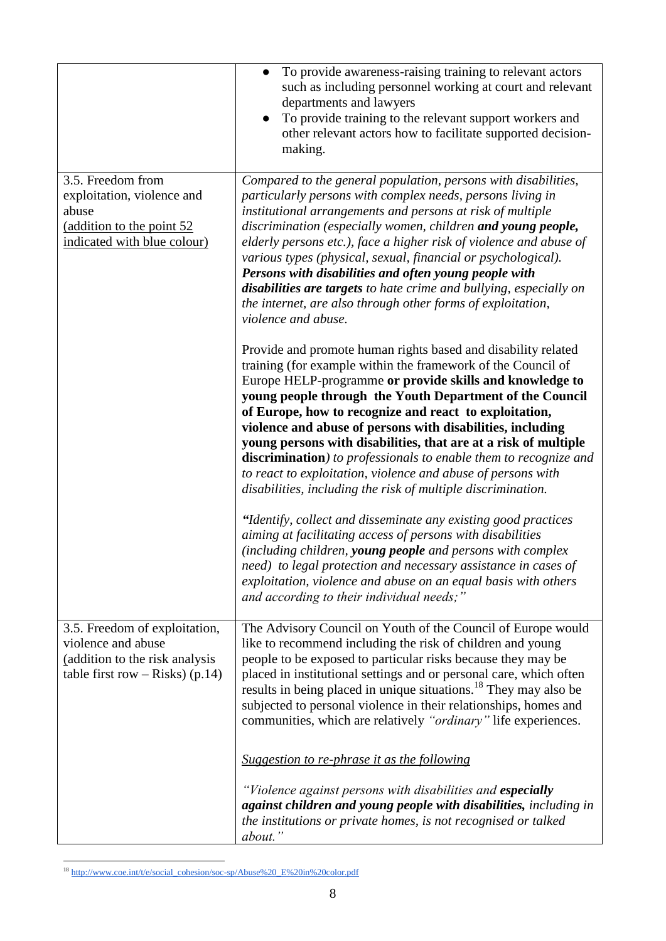|                                                                                                                            | To provide awareness-raising training to relevant actors<br>$\bullet$<br>such as including personnel working at court and relevant<br>departments and lawyers<br>To provide training to the relevant support workers and<br>$\bullet$<br>other relevant actors how to facilitate supported decision-<br>making.                                                                                                                                                                                                                                                                                                                                      |
|----------------------------------------------------------------------------------------------------------------------------|------------------------------------------------------------------------------------------------------------------------------------------------------------------------------------------------------------------------------------------------------------------------------------------------------------------------------------------------------------------------------------------------------------------------------------------------------------------------------------------------------------------------------------------------------------------------------------------------------------------------------------------------------|
| 3.5. Freedom from<br>exploitation, violence and<br>abuse<br>(addition to the point 52<br>indicated with blue colour)       | Compared to the general population, persons with disabilities,<br>particularly persons with complex needs, persons living in<br>institutional arrangements and persons at risk of multiple<br>discrimination (especially women, children and young people,<br>elderly persons etc.), face a higher risk of violence and abuse of<br>various types (physical, sexual, financial or psychological).<br>Persons with disabilities and often young people with<br>disabilities are targets to hate crime and bullying, especially on<br>the internet, are also through other forms of exploitation,<br>violence and abuse.                               |
|                                                                                                                            | Provide and promote human rights based and disability related<br>training (for example within the framework of the Council of<br>Europe HELP-programme or provide skills and knowledge to<br>young people through the Youth Department of the Council<br>of Europe, how to recognize and react to exploitation,<br>violence and abuse of persons with disabilities, including<br>young persons with disabilities, that are at a risk of multiple<br>discrimination) to professionals to enable them to recognize and<br>to react to exploitation, violence and abuse of persons with<br>disabilities, including the risk of multiple discrimination. |
|                                                                                                                            | "Identify, collect and disseminate any existing good practices<br>aiming at facilitating access of persons with disabilities<br>(including children, young people and persons with complex<br>need) to legal protection and necessary assistance in cases of<br>exploitation, violence and abuse on an equal basis with others<br>and according to their individual needs;"                                                                                                                                                                                                                                                                          |
| 3.5. Freedom of exploitation,<br>violence and abuse<br>(addition to the risk analysis<br>table first row $-$ Risks) (p.14) | The Advisory Council on Youth of the Council of Europe would<br>like to recommend including the risk of children and young<br>people to be exposed to particular risks because they may be<br>placed in institutional settings and or personal care, which often<br>results in being placed in unique situations. <sup>18</sup> They may also be<br>subjected to personal violence in their relationships, homes and<br>communities, which are relatively "ordinary" life experiences.                                                                                                                                                               |
|                                                                                                                            | Suggestion to re-phrase it as the following<br>"Violence against persons with disabilities and especially<br>against children and young people with disabilities, including in<br>the institutions or private homes, is not recognised or talked<br>about."                                                                                                                                                                                                                                                                                                                                                                                          |

<sup>1</sup> <sup>18</sup> [http://www.coe.int/t/e/social\\_cohesion/soc-sp/Abuse%20\\_E%20in%20color.pdf](http://www.coe.int/t/e/social_cohesion/soc-sp/Abuse%20_E%20in%20color.pdf)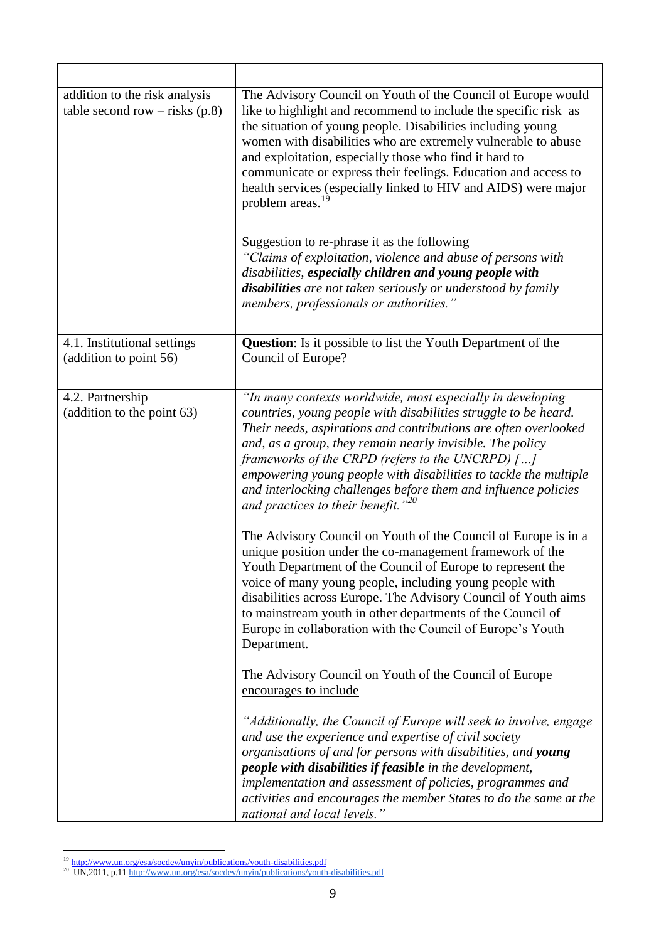| addition to the risk analysis<br>table second row $-$ risks (p.8) | The Advisory Council on Youth of the Council of Europe would<br>like to highlight and recommend to include the specific risk as<br>the situation of young people. Disabilities including young<br>women with disabilities who are extremely vulnerable to abuse<br>and exploitation, especially those who find it hard to<br>communicate or express their feelings. Education and access to<br>health services (especially linked to HIV and AIDS) were major<br>problem areas. <sup>19</sup><br>Suggestion to re-phrase it as the following<br>"Claims of exploitation, violence and abuse of persons with<br>disabilities, especially children and young people with<br>disabilities are not taken seriously or understood by family<br>members, professionals or authorities."                                                                                                                                                                                         |
|-------------------------------------------------------------------|---------------------------------------------------------------------------------------------------------------------------------------------------------------------------------------------------------------------------------------------------------------------------------------------------------------------------------------------------------------------------------------------------------------------------------------------------------------------------------------------------------------------------------------------------------------------------------------------------------------------------------------------------------------------------------------------------------------------------------------------------------------------------------------------------------------------------------------------------------------------------------------------------------------------------------------------------------------------------|
| 4.1. Institutional settings<br>(addition to point 56)             | <b>Question:</b> Is it possible to list the Youth Department of the<br>Council of Europe?                                                                                                                                                                                                                                                                                                                                                                                                                                                                                                                                                                                                                                                                                                                                                                                                                                                                                 |
| 4.2. Partnership<br>(addition to the point 63)                    | "In many contexts worldwide, most especially in developing<br>countries, young people with disabilities struggle to be heard.<br>Their needs, aspirations and contributions are often overlooked<br>and, as a group, they remain nearly invisible. The policy<br>frameworks of the CRPD (refers to the UNCRPD) $[]$<br>empowering young people with disabilities to tackle the multiple<br>and interlocking challenges before them and influence policies<br>and practices to their benefit." $^{20}$<br>The Advisory Council on Youth of the Council of Europe is in a<br>unique position under the co-management framework of the<br>Youth Department of the Council of Europe to represent the<br>voice of many young people, including young people with<br>disabilities across Europe. The Advisory Council of Youth aims<br>to mainstream youth in other departments of the Council of<br>Europe in collaboration with the Council of Europe's Youth<br>Department. |
|                                                                   | The Advisory Council on Youth of the Council of Europe<br>encourages to include<br>"Additionally, the Council of Europe will seek to involve, engage<br>and use the experience and expertise of civil society<br>organisations of and for persons with disabilities, and young<br>people with disabilities if feasible in the development,<br>implementation and assessment of policies, programmes and<br>activities and encourages the member States to do the same at the<br>national and local levels."                                                                                                                                                                                                                                                                                                                                                                                                                                                               |

<sup>&</sup>lt;u>.</u>

<sup>&</sup>lt;sup>19</sup> <http://www.un.org/esa/socdev/unyin/publications/youth-disabilities.pdf><br><sup>20</sup> UN,2011, p.1[1 http://www.un.org/esa/socdev/unyin/publications/youth-disabilities.pdf](http://www.un.org/esa/socdev/unyin/publications/youth-disabilities.pdf)